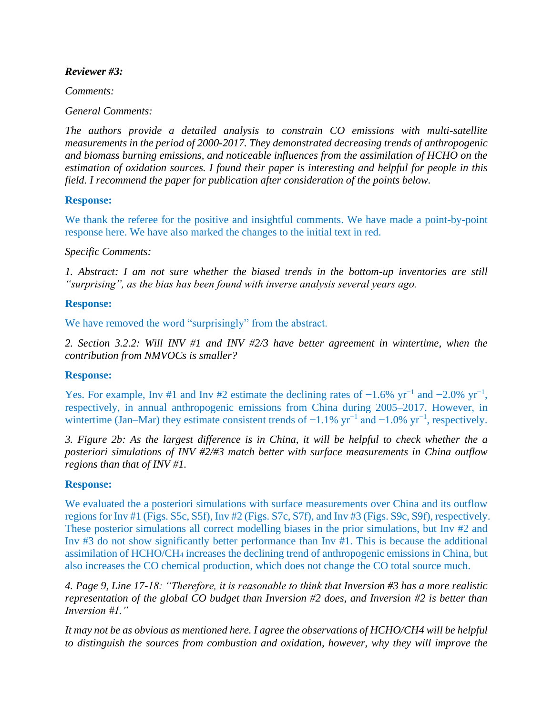### *Reviewer #3:*

*Comments:* 

### *General Comments:*

*The authors provide a detailed analysis to constrain CO emissions with multi-satellite measurements in the period of 2000-2017. They demonstrated decreasing trends of anthropogenic and biomass burning emissions, and noticeable influences from the assimilation of HCHO on the estimation of oxidation sources. I found their paper is interesting and helpful for people in this field. I recommend the paper for publication after consideration of the points below.*

## **Response:**

We thank the referee for the positive and insightful comments. We have made a point-by-point response here. We have also marked the changes to the initial text in red.

## *Specific Comments:*

*1. Abstract: I am not sure whether the biased trends in the bottom-up inventories are still "surprising", as the bias has been found with inverse analysis several years ago.*

## **Response:**

We have removed the word "surprisingly" from the abstract.

*2. Section 3.2.2: Will INV #1 and INV #2/3 have better agreement in wintertime, when the contribution from NMVOCs is smaller?*

#### **Response:**

Yes. For example, Inv #1 and Inv #2 estimate the declining rates of  $-1.6\%$  yr<sup>-1</sup> and  $-2.0\%$  yr<sup>-1</sup>, respectively, in annual anthropogenic emissions from China during 2005–2017. However, in wintertime (Jan–Mar) they estimate consistent trends of  $-1.1\%$  yr<sup>-1</sup> and  $-1.0\%$  yr<sup>-1</sup>, respectively.

*3. Figure 2b: As the largest difference is in China, it will be helpful to check whether the a posteriori simulations of INV #2/#3 match better with surface measurements in China outflow regions than that of INV #1.*

#### **Response:**

We evaluated the a posteriori simulations with surface measurements over China and its outflow regions for Inv #1 (Figs. S5c, S5f), Inv #2 (Figs. S7c, S7f), and Inv #3 (Figs. S9c, S9f), respectively. These posterior simulations all correct modelling biases in the prior simulations, but Inv #2 and Inv #3 do not show significantly better performance than Inv #1. This is because the additional assimilation of HCHO/CH<sup>4</sup> increases the declining trend of anthropogenic emissions in China, but also increases the CO chemical production, which does not change the CO total source much.

*4. Page 9, Line 17-18: "Therefore, it is reasonable to think that Inversion #3 has a more realistic representation of the global CO budget than Inversion #2 does, and Inversion #2 is better than Inversion #1."*

*It may not be as obvious as mentioned here. I agree the observations of HCHO/CH4 will be helpful to distinguish the sources from combustion and oxidation, however, why they will improve the*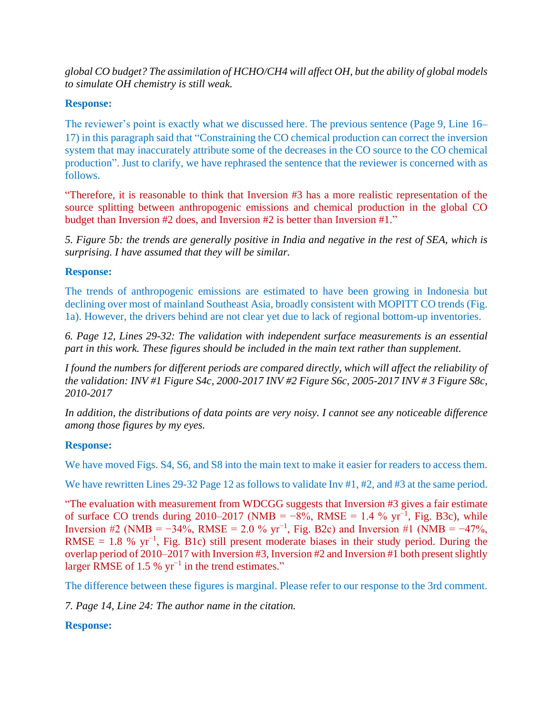*global CO budget? The assimilation of HCHO/CH4 will affect OH, but the ability of global models to simulate OH chemistry is still weak.*

## **Response:**

The reviewer's point is exactly what we discussed here. The previous sentence (Page 9, Line 16– 17) in this paragraph said that "Constraining the CO chemical production can correct the inversion system that may inaccurately attribute some of the decreases in the CO source to the CO chemical production". Just to clarify, we have rephrased the sentence that the reviewer is concerned with as follows.

"Therefore, it is reasonable to think that Inversion #3 has a more realistic representation of the source splitting between anthropogenic emissions and chemical production in the global CO budget than Inversion #2 does, and Inversion #2 is better than Inversion #1."

*5. Figure 5b: the trends are generally positive in India and negative in the rest of SEA, which is surprising. I have assumed that they will be similar.*

## **Response:**

The trends of anthropogenic emissions are estimated to have been growing in Indonesia but declining over most of mainland Southeast Asia, broadly consistent with MOPITT CO trends (Fig. 1a). However, the drivers behind are not clear yet due to lack of regional bottom-up inventories.

*6. Page 12, Lines 29-32: The validation with independent surface measurements is an essential part in this work. These figures should be included in the main text rather than supplement.*

*I found the numbers for different periods are compared directly, which will affect the reliability of the validation: INV #1 Figure S4c, 2000-2017 INV #2 Figure S6c, 2005-2017 INV # 3 Figure S8c, 2010-2017*

*In addition, the distributions of data points are very noisy. I cannot see any noticeable difference among those figures by my eyes.*

# **Response:**

We have moved Figs.  $S_4$ ,  $S_6$ , and  $S_8$  into the main text to make it easier for readers to access them.

We have rewritten Lines 29-32 Page 12 as follows to validate Inv #1, #2, and #3 at the same period.

"The evaluation with measurement from WDCGG suggests that Inversion #3 gives a fair estimate of surface CO trends during 2010–2017 (NMB =  $-8\%$ , RMSE = 1.4 % yr<sup>-1</sup>, Fig. B3c), while Inversion #2 (NMB =  $-34\%$ , RMSE = 2.0 % yr<sup>-1</sup>, Fig. B2c) and Inversion #1 (NMB =  $-47\%$ , RMSE = 1.8 % yr<sup>-1</sup>, Fig. B1c) still present moderate biases in their study period. During the overlap period of 2010–2017 with Inversion #3, Inversion #2 and Inversion #1 both present slightly larger RMSE of 1.5 %  $yr^{-1}$  in the trend estimates."

The difference between these figures is marginal. Please refer to our response to the 3rd comment.

*7. Page 14, Line 24: The author name in the citation.*

**Response:**